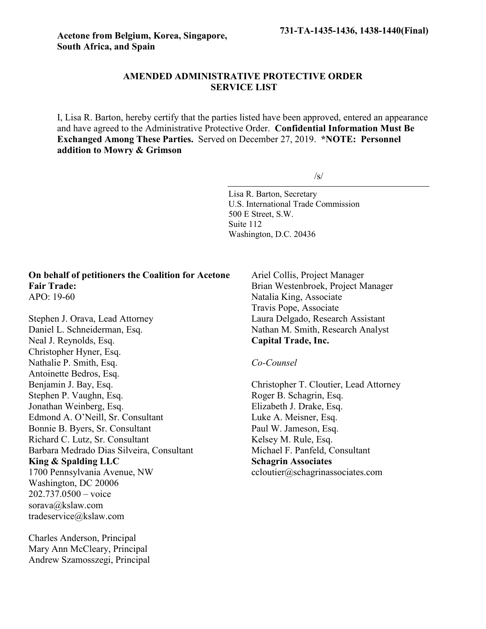# **AMENDED ADMINISTRATIVE PROTECTIVE ORDER SERVICE LIST**

I, Lisa R. Barton, hereby certify that the parties listed have been approved, entered an appearance and have agreed to the Administrative Protective Order. **Confidential Information Must Be Exchanged Among These Parties.** Served on December 27, 2019. **\*NOTE: Personnel addition to Mowry & Grimson**

/s/

Lisa R. Barton, Secretary U.S. International Trade Commission 500 E Street, S.W. Suite 112 Washington, D.C. 20436

### **On behalf of petitioners the Coalition for Acetone Fair Trade:** APO: 19-60

Stephen J. Orava, Lead Attorney Daniel L. Schneiderman, Esq. Neal J. Reynolds, Esq. Christopher Hyner, Esq. Nathalie P. Smith, Esq. Antoinette Bedros, Esq. Benjamin J. Bay, Esq. Stephen P. Vaughn, Esq. Jonathan Weinberg, Esq. Edmond A. O'Neill, Sr. Consultant Bonnie B. Byers, Sr. Consultant Richard C. Lutz, Sr. Consultant Barbara Medrado Dias Silveira, Consultant **King & Spalding LLC** 1700 Pennsylvania Avenue, NW Washington, DC 20006 202.737.0500 – voice sorava@kslaw.com tradeservice@kslaw.com

Charles Anderson, Principal Mary Ann McCleary, Principal Andrew Szamosszegi, Principal Ariel Collis, Project Manager Brian Westenbroek, Project Manager Natalia King, Associate Travis Pope, Associate Laura Delgado, Research Assistant Nathan M. Smith, Research Analyst **Capital Trade, Inc.**

### *Co-Counsel*

Christopher T. Cloutier, Lead Attorney Roger B. Schagrin, Esq. Elizabeth J. Drake, Esq. Luke A. Meisner, Esq. Paul W. Jameson, Esq. Kelsey M. Rule, Esq. Michael F. Panfeld, Consultant **Schagrin Associates** ccloutier@schagrinassociates.com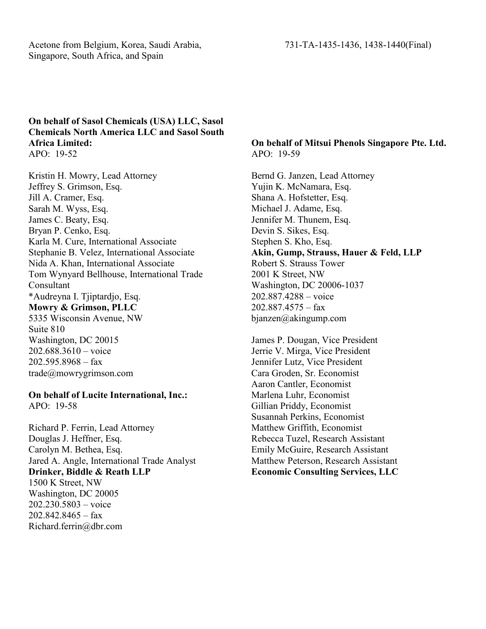Acetone from Belgium, Korea, Saudi Arabia, 731-TA-1435-1436, 1438-1440(Final) Singapore, South Africa, and Spain

## **On behalf of Sasol Chemicals (USA) LLC, Sasol Chemicals North America LLC and Sasol South Africa Limited:** APO: 19-52

Kristin H. Mowry, Lead Attorney Jeffrey S. Grimson, Esq. Jill A. Cramer, Esq. Sarah M. Wyss, Esq. James C. Beaty, Esq. Bryan P. Cenko, Esq. Karla M. Cure, International Associate Stephanie B. Velez, International Associate Nida A. Khan, International Associate Tom Wynyard Bellhouse, International Trade Consultant \*Audreyna I. Tjiptardjo, Esq. **Mowry & Grimson, PLLC** 5335 Wisconsin Avenue, NW Suite 810 Washington, DC 20015 202.688.3610 – voice  $202.595.8968 - fax$ trade@mowrygrimson.com

# **On behalf of Lucite International, Inc.:**

APO: 19-58

Richard P. Ferrin, Lead Attorney Douglas J. Heffner, Esq. Carolyn M. Bethea, Esq. Jared A. Angle, International Trade Analyst **Drinker, Biddle & Reath LLP** 1500 K Street, NW Washington, DC 20005 202.230.5803 – voice 202.842.8465 – fax Richard.ferrin@dbr.com

# **On behalf of Mitsui Phenols Singapore Pte. Ltd.** APO: 19-59

Bernd G. Janzen, Lead Attorney Yujin K. McNamara, Esq. Shana A. Hofstetter, Esq. Michael J. Adame, Esq. Jennifer M. Thunem, Esq. Devin S. Sikes, Esq. Stephen S. Kho, Esq. **Akin, Gump, Strauss, Hauer & Feld, LLP** Robert S. Strauss Tower 2001 K Street, NW Washington, DC 20006-1037 202.887.4288 – voice 202.887.4575 – fax bjanzen@akingump.com

James P. Dougan, Vice President Jerrie V. Mirga, Vice President Jennifer Lutz, Vice President Cara Groden, Sr. Economist Aaron Cantler, Economist Marlena Luhr, Economist Gillian Priddy, Economist Susannah Perkins, Economist Matthew Griffith, Economist Rebecca Tuzel, Research Assistant Emily McGuire, Research Assistant Matthew Peterson, Research Assistant **Economic Consulting Services, LLC**